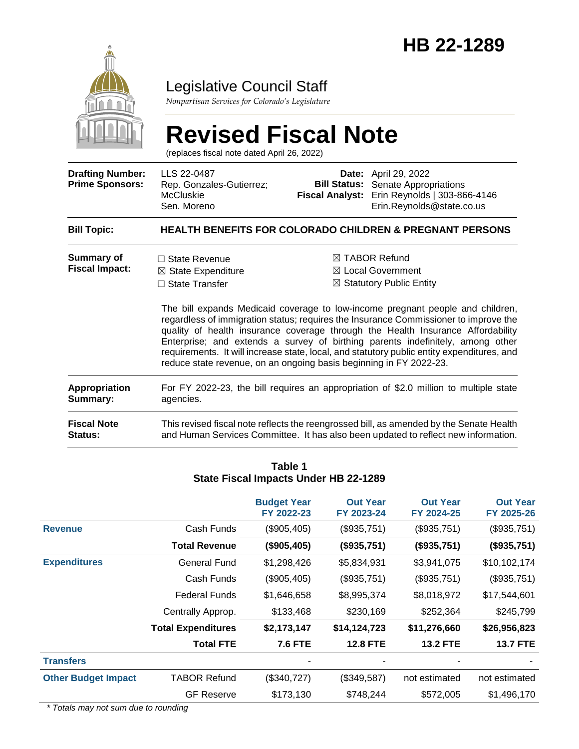

### Legislative Council Staff

*Nonpartisan Services for Colorado's Legislature*

# **Revised Fiscal Note**

(replaces fiscal note dated April 26, 2022)

| <b>Drafting Number:</b><br><b>Prime Sponsors:</b> | LLS 22-0487<br>Rep. Gonzales-Gutierrez;<br><b>McCluskie</b><br>Sen. Moreno                                                                           |  | <b>Date:</b> April 29, 2022<br><b>Bill Status:</b> Senate Appropriations<br>Fiscal Analyst: Erin Reynolds   303-866-4146<br>Erin.Reynolds@state.co.us                                                                                                                                                                                                                                                                                                                                                                                        |  |  |
|---------------------------------------------------|------------------------------------------------------------------------------------------------------------------------------------------------------|--|----------------------------------------------------------------------------------------------------------------------------------------------------------------------------------------------------------------------------------------------------------------------------------------------------------------------------------------------------------------------------------------------------------------------------------------------------------------------------------------------------------------------------------------------|--|--|
| <b>Bill Topic:</b>                                | <b>HEALTH BENEFITS FOR COLORADO CHILDREN &amp; PREGNANT PERSONS</b>                                                                                  |  |                                                                                                                                                                                                                                                                                                                                                                                                                                                                                                                                              |  |  |
| <b>Summary of</b><br><b>Fiscal Impact:</b>        | $\Box$ State Revenue<br>$\boxtimes$ State Expenditure<br>$\Box$ State Transfer<br>reduce state revenue, on an ongoing basis beginning in FY 2022-23. |  | $\boxtimes$ TABOR Refund<br>$\boxtimes$ Local Government<br>$\boxtimes$ Statutory Public Entity<br>The bill expands Medicaid coverage to low-income pregnant people and children,<br>regardless of immigration status; requires the Insurance Commissioner to improve the<br>quality of health insurance coverage through the Health Insurance Affordability<br>Enterprise; and extends a survey of birthing parents indefinitely, among other<br>requirements. It will increase state, local, and statutory public entity expenditures, and |  |  |
| Appropriation<br>Summary:                         | For FY 2022-23, the bill requires an appropriation of \$2.0 million to multiple state<br>agencies.                                                   |  |                                                                                                                                                                                                                                                                                                                                                                                                                                                                                                                                              |  |  |
| <b>Fiscal Note</b><br><b>Status:</b>              |                                                                                                                                                      |  | This revised fiscal note reflects the reengrossed bill, as amended by the Senate Health<br>and Human Services Committee. It has also been updated to reflect new information.                                                                                                                                                                                                                                                                                                                                                                |  |  |

|                            |                           | State Fiscal Impacts Under HB 22-1289 |                               |                               |                               |
|----------------------------|---------------------------|---------------------------------------|-------------------------------|-------------------------------|-------------------------------|
|                            |                           | <b>Budget Year</b><br>FY 2022-23      | <b>Out Year</b><br>FY 2023-24 | <b>Out Year</b><br>FY 2024-25 | <b>Out Year</b><br>FY 2025-26 |
| <b>Revenue</b>             | Cash Funds                | (\$905,405)                           | (\$935,751)                   | (\$935,751)                   | (\$935,751)                   |
|                            | <b>Total Revenue</b>      | (\$905,405)                           | (\$935,751)                   | (\$935,751)                   | (\$935,751)                   |
| <b>Expenditures</b>        | General Fund              | \$1,298,426                           | \$5,834,931                   | \$3,941,075                   | \$10,102,174                  |
|                            | Cash Funds                | (\$905,405)                           | (\$935,751)                   | (\$935,751)                   | (\$935,751)                   |
|                            | <b>Federal Funds</b>      | \$1,646,658                           | \$8,995,374                   | \$8,018,972                   | \$17,544,601                  |
|                            | Centrally Approp.         | \$133,468                             | \$230,169                     | \$252,364                     | \$245,799                     |
|                            | <b>Total Expenditures</b> | \$2,173,147                           | \$14,124,723                  | \$11,276,660                  | \$26,956,823                  |
|                            | <b>Total FTE</b>          | <b>7.6 FTE</b>                        | <b>12.8 FTE</b>               | <b>13.2 FTE</b>               | <b>13.7 FTE</b>               |
| <b>Transfers</b>           |                           |                                       |                               |                               |                               |
| <b>Other Budget Impact</b> | <b>TABOR Refund</b>       | (\$340,727)                           | (\$349,587)                   | not estimated                 | not estimated                 |
|                            | <b>GF Reserve</b>         | \$173,130                             | \$748,244                     | \$572,005                     | \$1,496,170                   |

### **Table 1 State Fiscal Impacts Under HB 22-1289**

*\* Totals may not sum due to rounding*

 $\overline{a}$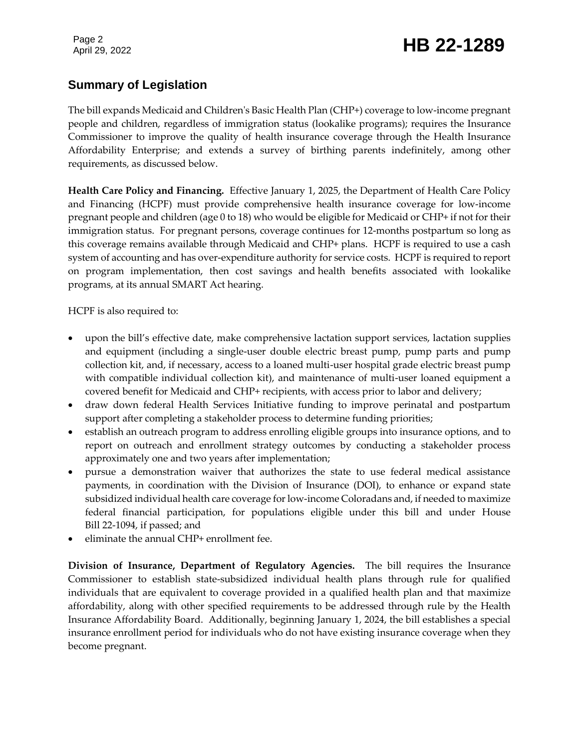## Page 2<br>April 29, 2022 **HB 22-1289**

### **Summary of Legislation**

The bill expands Medicaid and Children's Basic Health Plan (CHP+) coverage to low-income pregnant people and children, regardless of immigration status (lookalike programs); requires the Insurance Commissioner to improve the quality of health insurance coverage through the Health Insurance Affordability Enterprise; and extends a survey of birthing parents indefinitely, among other requirements, as discussed below.

**Health Care Policy and Financing.** Effective January 1, 2025, the Department of Health Care Policy and Financing (HCPF) must provide comprehensive health insurance coverage for low-income pregnant people and children (age 0 to 18) who would be eligible for Medicaid or CHP+ if not for their immigration status. For pregnant persons, coverage continues for 12-months postpartum so long as this coverage remains available through Medicaid and CHP+ plans. HCPF is required to use a cash system of accounting and has over-expenditure authority for service costs. HCPF is required to report on program implementation, then cost savings and health benefits associated with lookalike programs, at its annual SMART Act hearing.

HCPF is also required to:

- upon the bill's effective date, make comprehensive lactation support services, lactation supplies and equipment (including a single-user double electric breast pump, pump parts and pump collection kit, and, if necessary, access to a loaned multi-user hospital grade electric breast pump with compatible individual collection kit), and maintenance of multi-user loaned equipment a covered benefit for Medicaid and CHP+ recipients, with access prior to labor and delivery;
- draw down federal Health Services Initiative funding to improve perinatal and postpartum support after completing a stakeholder process to determine funding priorities;
- establish an outreach program to address enrolling eligible groups into insurance options, and to report on outreach and enrollment strategy outcomes by conducting a stakeholder process approximately one and two years after implementation;
- pursue a demonstration waiver that authorizes the state to use federal medical assistance payments, in coordination with the Division of Insurance (DOI), to enhance or expand state subsidized individual health care coverage for low-income Coloradans and, if needed to maximize federal financial participation, for populations eligible under this bill and under House Bill 22-1094, if passed; and
- eliminate the annual CHP+ enrollment fee.

**Division of Insurance, Department of Regulatory Agencies.** The bill requires the Insurance Commissioner to establish state-subsidized individual health plans through rule for qualified individuals that are equivalent to coverage provided in a qualified health plan and that maximize affordability, along with other specified requirements to be addressed through rule by the Health Insurance Affordability Board. Additionally, beginning January 1, 2024, the bill establishes a special insurance enrollment period for individuals who do not have existing insurance coverage when they become pregnant.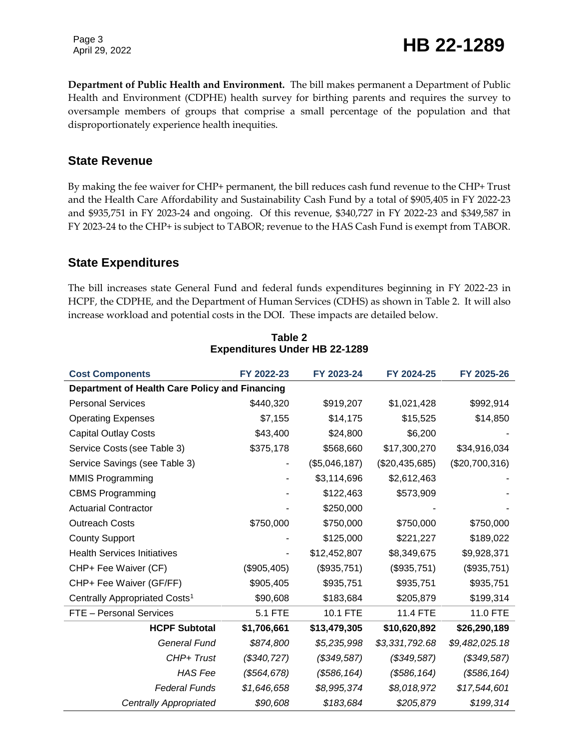Page 3<br>April 29, 2022 **HB 22-1289** 

**Department of Public Health and Environment.** The bill makes permanent a Department of Public Health and Environment (CDPHE) health survey for birthing parents and requires the survey to oversample members of groups that comprise a small percentage of the population and that disproportionately experience health inequities.

#### **State Revenue**

By making the fee waiver for CHP+ permanent, the bill reduces cash fund revenue to the CHP+ Trust and the Health Care Affordability and Sustainability Cash Fund by a total of \$905,405 in FY 2022-23 and \$935,751 in FY 2023-24 and ongoing. Of this revenue, \$340,727 in FY 2022-23 and \$349,587 in FY 2023-24 to the CHP+ is subject to TABOR; revenue to the HAS Cash Fund is exempt from TABOR.

#### **State Expenditures**

The bill increases state General Fund and federal funds expenditures beginning in FY 2022-23 in HCPF, the CDPHE, and the Department of Human Services (CDHS) as shown in Table 2. It will also increase workload and potential costs in the DOI. These impacts are detailed below.

| <b>Cost Components</b>                         | FY 2022-23     | FY 2023-24    | FY 2024-25     | FY 2025-26     |  |
|------------------------------------------------|----------------|---------------|----------------|----------------|--|
| Department of Health Care Policy and Financing |                |               |                |                |  |
| <b>Personal Services</b>                       | \$440,320      | \$919,207     | \$1,021,428    | \$992,914      |  |
| <b>Operating Expenses</b>                      | \$7,155        | \$14,175      | \$15,525       | \$14,850       |  |
| <b>Capital Outlay Costs</b>                    | \$43,400       | \$24,800      | \$6,200        |                |  |
| Service Costs (see Table 3)                    | \$375,178      | \$568,660     | \$17,300,270   | \$34,916,034   |  |
| Service Savings (see Table 3)                  |                | (\$5,046,187) | (\$20,435,685) | (\$20,700,316) |  |
| <b>MMIS Programming</b>                        |                | \$3,114,696   | \$2,612,463    |                |  |
| <b>CBMS Programming</b>                        |                | \$122,463     | \$573,909      |                |  |
| <b>Actuarial Contractor</b>                    |                | \$250,000     |                |                |  |
| <b>Outreach Costs</b>                          | \$750,000      | \$750,000     | \$750,000      | \$750,000      |  |
| <b>County Support</b>                          |                | \$125,000     | \$221,227      | \$189,022      |  |
| <b>Health Services Initiatives</b>             |                | \$12,452,807  | \$8,349,675    | \$9,928,371    |  |
| CHP+ Fee Waiver (CF)                           | (\$905,405)    | (\$935,751)   | (\$935,751)    | (\$935,751)    |  |
| CHP+ Fee Waiver (GF/FF)                        | \$905,405      | \$935,751     | \$935,751      | \$935,751      |  |
| Centrally Appropriated Costs <sup>1</sup>      | \$90,608       | \$183,684     | \$205,879      | \$199,314      |  |
| FTE - Personal Services                        | <b>5.1 FTE</b> | 10.1 FTE      | 11.4 FTE       | 11.0 FTE       |  |
| <b>HCPF Subtotal</b>                           | \$1,706,661    | \$13,479,305  | \$10,620,892   | \$26,290,189   |  |
| <b>General Fund</b>                            | \$874,800      | \$5,235,998   | \$3,331,792.68 | \$9,482,025.18 |  |
| CHP+ Trust                                     | (\$340, 727)   | (\$349,587)   | (\$349,587)    | (\$349,587)    |  |
| <b>HAS Fee</b>                                 | (\$564, 678)   | (\$586, 164)  | (\$586, 164)   | (\$586, 164)   |  |
| <b>Federal Funds</b>                           | \$1,646,658    | \$8,995,374   | \$8,018,972    | \$17,544,601   |  |
| <b>Centrally Appropriated</b>                  | \$90,608       | \$183,684     | \$205,879      | \$199,314      |  |

**Table 2 Expenditures Under HB 22-1289**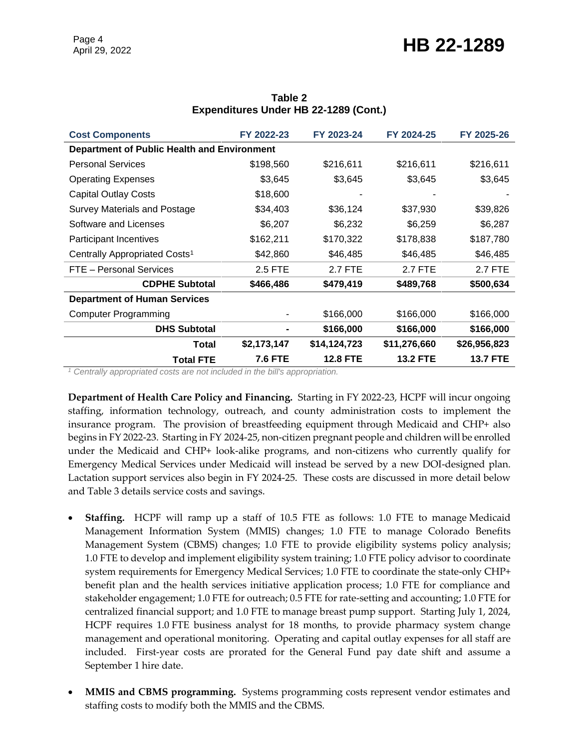# Page 4<br>April 29, 2022 **HB 22-1289**

| <b>Cost Components</b>                             | FY 2022-23     | FY 2023-24      | FY 2024-25      | FY 2025-26      |  |  |
|----------------------------------------------------|----------------|-----------------|-----------------|-----------------|--|--|
| <b>Department of Public Health and Environment</b> |                |                 |                 |                 |  |  |
| <b>Personal Services</b>                           | \$198,560      | \$216,611       | \$216,611       | \$216,611       |  |  |
| <b>Operating Expenses</b>                          | \$3,645        | \$3,645         | \$3,645         | \$3,645         |  |  |
| <b>Capital Outlay Costs</b>                        | \$18,600       |                 |                 |                 |  |  |
| <b>Survey Materials and Postage</b>                | \$34,403       | \$36,124        | \$37,930        | \$39,826        |  |  |
| Software and Licenses                              | \$6,207        | \$6,232         | \$6,259         | \$6,287         |  |  |
| <b>Participant Incentives</b>                      | \$162,211      | \$170,322       | \$178,838       | \$187,780       |  |  |
| Centrally Appropriated Costs <sup>1</sup>          | \$42,860       | \$46,485        | \$46,485        | \$46,485        |  |  |
| FTE - Personal Services                            | 2.5 FTE        | 2.7 FTE         | 2.7 FTE         | 2.7 FTE         |  |  |
| <b>CDPHE Subtotal</b>                              | \$466,486      | \$479,419       | \$489,768       | \$500,634       |  |  |
| <b>Department of Human Services</b>                |                |                 |                 |                 |  |  |
| <b>Computer Programming</b>                        |                | \$166,000       | \$166,000       | \$166,000       |  |  |
| <b>DHS Subtotal</b>                                |                | \$166,000       | \$166,000       | \$166,000       |  |  |
| <b>Total</b>                                       | \$2,173,147    | \$14,124,723    | \$11,276,660    | \$26,956,823    |  |  |
| <b>Total FTE</b>                                   | <b>7.6 FTE</b> | <b>12.8 FTE</b> | <b>13.2 FTE</b> | <b>13.7 FTE</b> |  |  |

#### **Table 2 Expenditures Under HB 22-1289 (Cont.)**

*<sup>1</sup> Centrally appropriated costs are not included in the bill's appropriation.*

**Department of Health Care Policy and Financing.** Starting in FY 2022-23, HCPF will incur ongoing staffing, information technology, outreach, and county administration costs to implement the insurance program. The provision of breastfeeding equipment through Medicaid and CHP+ also begins in FY 2022-23. Starting in FY 2024-25, non-citizen pregnant people and children will be enrolled under the Medicaid and CHP+ look-alike programs, and non-citizens who currently qualify for Emergency Medical Services under Medicaid will instead be served by a new DOI-designed plan. Lactation support services also begin in FY 2024-25. These costs are discussed in more detail below and Table 3 details service costs and savings.

- **Staffing.** HCPF will ramp up a staff of 10.5 FTE as follows: 1.0 FTE to manage Medicaid Management Information System (MMIS) changes; 1.0 FTE to manage Colorado Benefits Management System (CBMS) changes; 1.0 FTE to provide eligibility systems policy analysis; 1.0 FTE to develop and implement eligibility system training; 1.0 FTE policy advisor to coordinate system requirements for Emergency Medical Services; 1.0 FTE to coordinate the state-only CHP+ benefit plan and the health services initiative application process; 1.0 FTE for compliance and stakeholder engagement; 1.0 FTE for outreach; 0.5 FTE for rate-setting and accounting; 1.0 FTE for centralized financial support; and 1.0 FTE to manage breast pump support. Starting July 1, 2024, HCPF requires 1.0 FTE business analyst for 18 months, to provide pharmacy system change management and operational monitoring. Operating and capital outlay expenses for all staff are included. First-year costs are prorated for the General Fund pay date shift and assume a September 1 hire date.
- **MMIS and CBMS programming.** Systems programming costs represent vendor estimates and staffing costs to modify both the MMIS and the CBMS.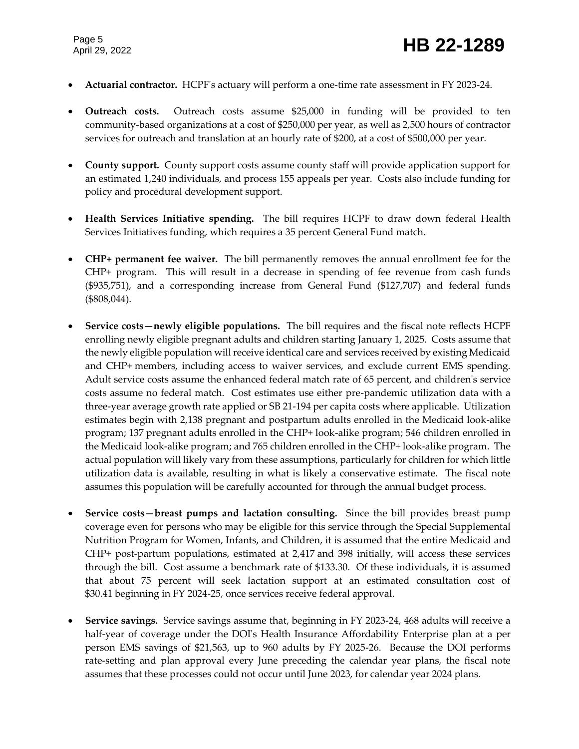- **Actuarial contractor.** HCPF's actuary will perform a one-time rate assessment in FY 2023-24.
- **Outreach costs.** Outreach costs assume \$25,000 in funding will be provided to ten community-based organizations at a cost of \$250,000 per year, as well as 2,500 hours of contractor services for outreach and translation at an hourly rate of \$200, at a cost of \$500,000 per year.
- **County support.** County support costs assume county staff will provide application support for an estimated 1,240 individuals, and process 155 appeals per year. Costs also include funding for policy and procedural development support.
- **Health Services Initiative spending.** The bill requires HCPF to draw down federal Health Services Initiatives funding, which requires a 35 percent General Fund match.
- **CHP+ permanent fee waiver.** The bill permanently removes the annual enrollment fee for the CHP+ program. This will result in a decrease in spending of fee revenue from cash funds (\$935,751), and a corresponding increase from General Fund (\$127,707) and federal funds (\$808,044).
- **Service costs—newly eligible populations.** The bill requires and the fiscal note reflects HCPF enrolling newly eligible pregnant adults and children starting January 1, 2025. Costs assume that the newly eligible population will receive identical care and services received by existing Medicaid and CHP+ members, including access to waiver services, and exclude current EMS spending. Adult service costs assume the enhanced federal match rate of 65 percent, and children's service costs assume no federal match. Cost estimates use either pre-pandemic utilization data with a three-year average growth rate applied or SB 21-194 per capita costs where applicable. Utilization estimates begin with 2,138 pregnant and postpartum adults enrolled in the Medicaid look-alike program; 137 pregnant adults enrolled in the CHP+ look-alike program; 546 children enrolled in the Medicaid look-alike program; and 765 children enrolled in the CHP+ look-alike program. The actual population will likely vary from these assumptions, particularly for children for which little utilization data is available, resulting in what is likely a conservative estimate. The fiscal note assumes this population will be carefully accounted for through the annual budget process.
- **Service costs—breast pumps and lactation consulting.** Since the bill provides breast pump coverage even for persons who may be eligible for this service through the Special Supplemental Nutrition Program for Women, Infants, and Children, it is assumed that the entire Medicaid and CHP+ post-partum populations, estimated at 2,417 and 398 initially, will access these services through the bill. Cost assume a benchmark rate of \$133.30. Of these individuals, it is assumed that about 75 percent will seek lactation support at an estimated consultation cost of \$30.41 beginning in FY 2024-25, once services receive federal approval.
- **Service savings.** Service savings assume that, beginning in FY 2023-24, 468 adults will receive a half-year of coverage under the DOI's Health Insurance Affordability Enterprise plan at a per person EMS savings of \$21,563, up to 960 adults by FY 2025-26. Because the DOI performs rate-setting and plan approval every June preceding the calendar year plans, the fiscal note assumes that these processes could not occur until June 2023, for calendar year 2024 plans.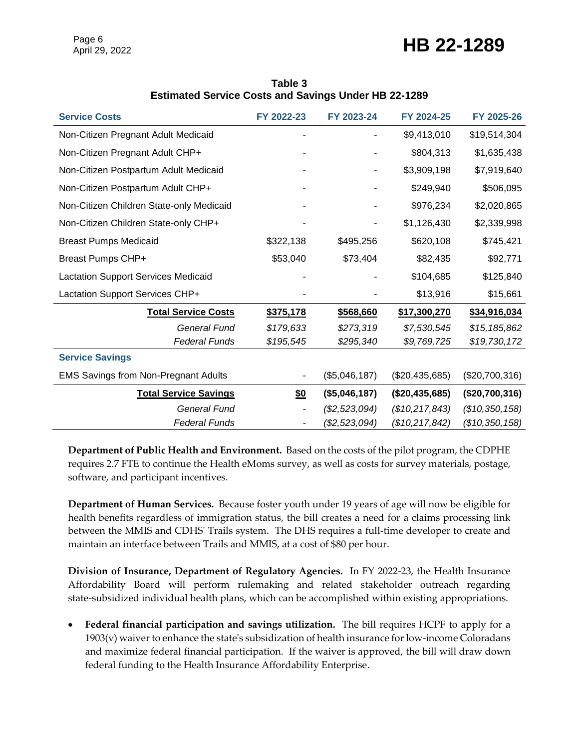### Page 6<br>April 29, 2022 **HB 22-1289**

| Table 3                                                     |  |
|-------------------------------------------------------------|--|
| <b>Estimated Service Costs and Savings Under HB 22-1289</b> |  |

| <b>Service Costs</b>                        | FY 2022-23 | FY 2023-24    | FY 2024-25     | FY 2025-26     |
|---------------------------------------------|------------|---------------|----------------|----------------|
| Non-Citizen Pregnant Adult Medicaid         |            |               | \$9,413,010    | \$19,514,304   |
| Non-Citizen Pregnant Adult CHP+             |            |               | \$804,313      | \$1,635,438    |
| Non-Citizen Postpartum Adult Medicaid       |            |               | \$3,909,198    | \$7,919,640    |
| Non-Citizen Postpartum Adult CHP+           |            |               | \$249,940      | \$506,095      |
| Non-Citizen Children State-only Medicaid    |            |               | \$976,234      | \$2,020,865    |
| Non-Citizen Children State-only CHP+        |            |               | \$1,126,430    | \$2,339,998    |
| <b>Breast Pumps Medicaid</b>                | \$322,138  | \$495,256     | \$620,108      | \$745,421      |
| <b>Breast Pumps CHP+</b>                    | \$53,040   | \$73,404      | \$82,435       | \$92,771       |
| <b>Lactation Support Services Medicaid</b>  |            |               | \$104,685      | \$125,840      |
| Lactation Support Services CHP+             |            |               | \$13,916       | \$15,661       |
| <b>Total Service Costs</b>                  | \$375,178  | \$568,660     | \$17,300,270   | \$34,916,034   |
| General Fund                                | \$179,633  | \$273,319     | \$7,530,545    | \$15,185,862   |
| <b>Federal Funds</b>                        | \$195,545  | \$295,340     | \$9,769,725    | \$19,730,172   |
| <b>Service Savings</b>                      |            |               |                |                |
| <b>EMS Savings from Non-Pregnant Adults</b> |            | (\$5,046,187) | (\$20,435,685) | (\$20,700,316) |
| <b>Total Service Savings</b>                | \$0        | (\$5,046,187) | (\$20,435,685) | (\$20,700,316) |
| <b>General Fund</b>                         |            | (\$2,523,094) | (\$10,217,843) | (\$10,350,158) |
| <b>Federal Funds</b>                        |            | (\$2,523,094) | (\$10,217,842) | (\$10,350,158) |

**Department of Public Health and Environment.** Based on the costs of the pilot program, the CDPHE requires 2.7 FTE to continue the Health eMoms survey, as well as costs for survey materials, postage, software, and participant incentives.

**Department of Human Services.** Because foster youth under 19 years of age will now be eligible for health benefits regardless of immigration status, the bill creates a need for a claims processing link between the MMIS and CDHS' Trails system. The DHS requires a full-time developer to create and maintain an interface between Trails and MMIS, at a cost of \$80 per hour.

**Division of Insurance, Department of Regulatory Agencies.** In FY 2022-23, the Health Insurance Affordability Board will perform rulemaking and related stakeholder outreach regarding state-subsidized individual health plans, which can be accomplished within existing appropriations.

 **Federal financial participation and savings utilization.** The bill requires HCPF to apply for a 1903(v) waiver to enhance the state's subsidization of health insurance for low-income Coloradans and maximize federal financial participation. If the waiver is approved, the bill will draw down federal funding to the Health Insurance Affordability Enterprise.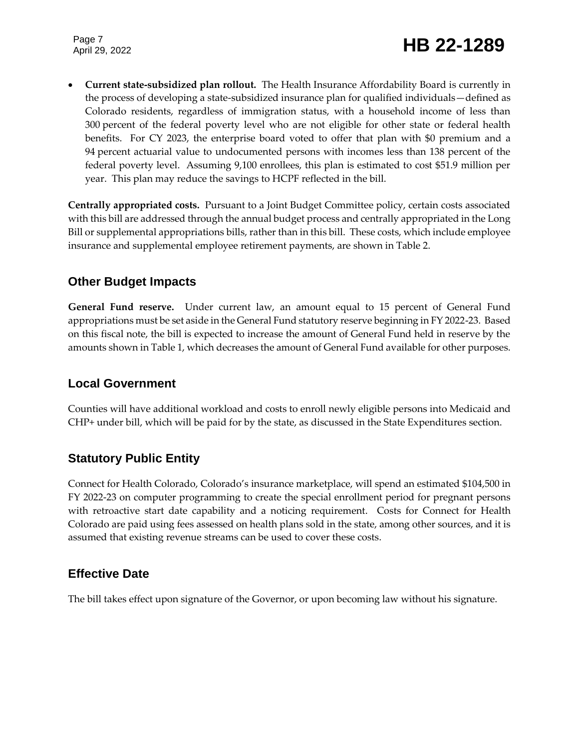**Current state-subsidized plan rollout.** The Health Insurance Affordability Board is currently in the process of developing a state-subsidized insurance plan for qualified individuals—defined as Colorado residents, regardless of immigration status, with a household income of less than 300 percent of the federal poverty level who are not eligible for other state or federal health benefits. For CY 2023, the enterprise board voted to offer that plan with \$0 premium and a 94 percent actuarial value to undocumented persons with incomes less than 138 percent of the federal poverty level. Assuming 9,100 enrollees, this plan is estimated to cost \$51.9 million per year. This plan may reduce the savings to HCPF reflected in the bill.

**Centrally appropriated costs.** Pursuant to a Joint Budget Committee policy, certain costs associated with this bill are addressed through the annual budget process and centrally appropriated in the Long Bill or supplemental appropriations bills, rather than in this bill. These costs, which include employee insurance and supplemental employee retirement payments, are shown in Table 2.

### **Other Budget Impacts**

**General Fund reserve.** Under current law, an amount equal to 15 percent of General Fund appropriations must be set aside in the General Fund statutory reserve beginning in FY 2022-23. Based on this fiscal note, the bill is expected to increase the amount of General Fund held in reserve by the amounts shown in Table 1, which decreases the amount of General Fund available for other purposes.

### **Local Government**

Counties will have additional workload and costs to enroll newly eligible persons into Medicaid and CHP+ under bill, which will be paid for by the state, as discussed in the State Expenditures section.

### **Statutory Public Entity**

Connect for Health Colorado, Colorado's insurance marketplace, will spend an estimated \$104,500 in FY 2022-23 on computer programming to create the special enrollment period for pregnant persons with retroactive start date capability and a noticing requirement. Costs for Connect for Health Colorado are paid using fees assessed on health plans sold in the state, among other sources, and it is assumed that existing revenue streams can be used to cover these costs.

### **Effective Date**

The bill takes effect upon signature of the Governor, or upon becoming law without his signature.